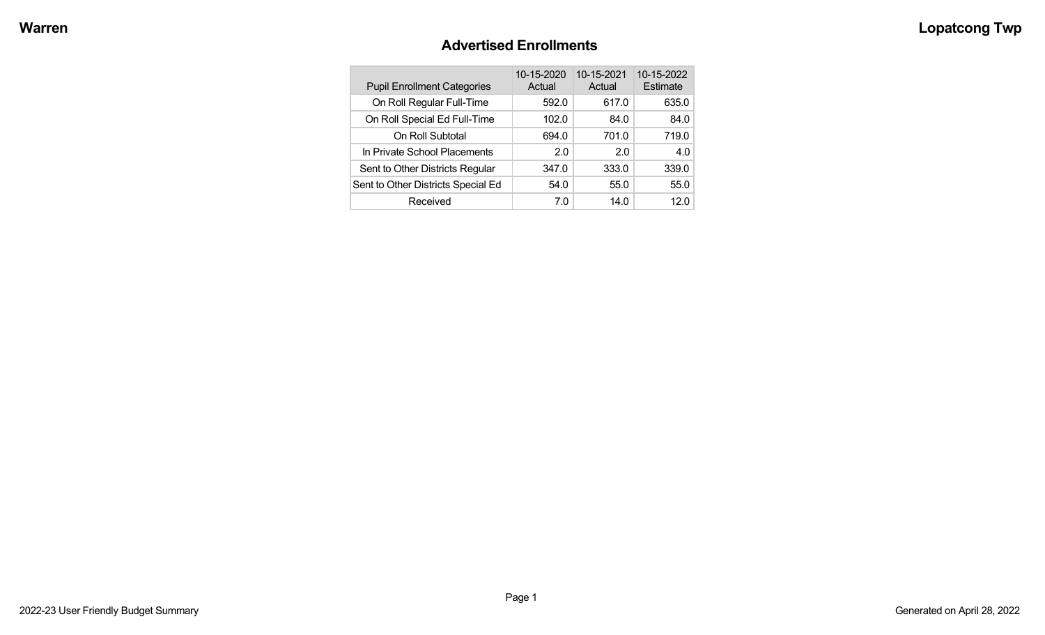### **Advertised Enrollments**

| <b>Pupil Enrollment Categories</b> | 10-15-2020<br>Actual | 10-15-2021<br>Actual | 10-15-2022<br>Estimate |
|------------------------------------|----------------------|----------------------|------------------------|
| On Roll Regular Full-Time          | 592.0                | 617.0                | 635.0                  |
| On Roll Special Ed Full-Time       | 102.0                | 84.0                 | 84.0                   |
| On Roll Subtotal                   | 694.0                | 701.0                | 719.0                  |
| In Private School Placements       | 2.0                  | 2.0                  | 4.0                    |
| Sent to Other Districts Regular    | 347.0                | 333.0                | 339.0                  |
| Sent to Other Districts Special Ed | 54.0                 | 55.0                 | 55.0                   |
| Received                           | 7.0                  | 14.0                 | 12.0                   |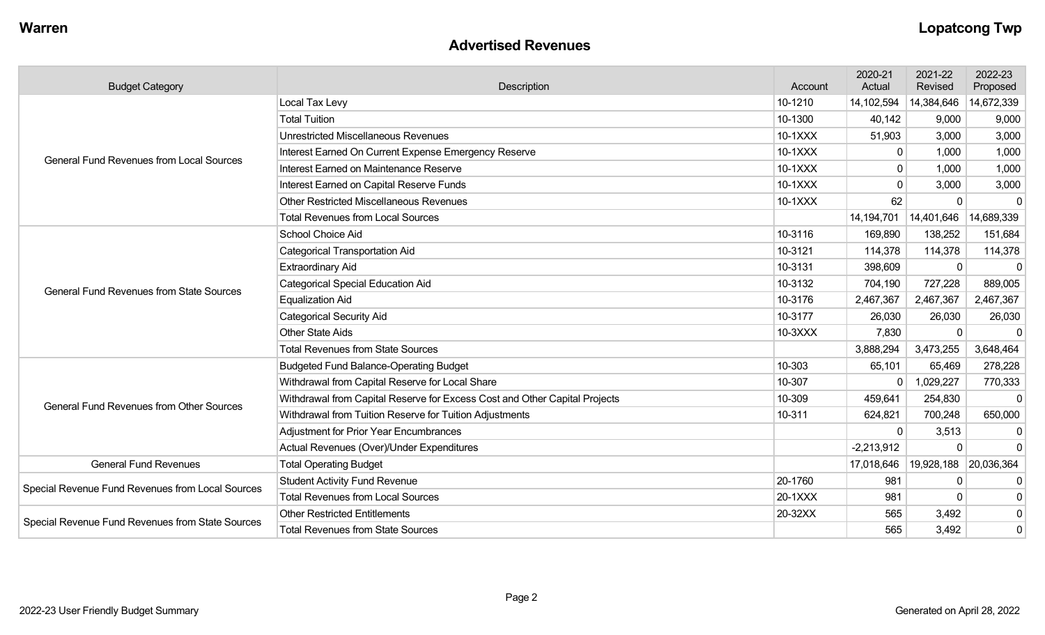#### **Advertised Revenues**

| <b>Budget Category</b>                           | Description<br>Account                                                     |         | 2020-21<br>Actual | 2021-22<br>Revised | 2022-23<br>Proposed |
|--------------------------------------------------|----------------------------------------------------------------------------|---------|-------------------|--------------------|---------------------|
|                                                  | Local Tax Levy                                                             | 10-1210 | 14,102,594        | 14,384,646         | 14,672,339          |
| <b>General Fund Revenues from Local Sources</b>  | <b>Total Tuition</b>                                                       | 10-1300 | 40,142            | 9,000              | 9,000               |
|                                                  | <b>Unrestricted Miscellaneous Revenues</b>                                 | 10-1XXX | 51,903            | 3,000              | 3,000               |
|                                                  | Interest Earned On Current Expense Emergency Reserve                       | 10-1XXX | 0                 | 1,000              | 1,000               |
|                                                  | Interest Earned on Maintenance Reserve                                     | 10-1XXX | $\mathbf{0}$      | 1,000              | 1,000               |
|                                                  | Interest Earned on Capital Reserve Funds                                   | 10-1XXX |                   | 3,000              | 3,000               |
|                                                  | Other Restricted Miscellaneous Revenues                                    | 10-1XXX | 62                | $\Omega$           | $\mathbf 0$         |
|                                                  | <b>Total Revenues from Local Sources</b>                                   |         | 14,194,701        | 14,401,646         | 14,689,339          |
|                                                  | School Choice Aid                                                          | 10-3116 | 169,890           | 138,252            | 151,684             |
|                                                  | <b>Categorical Transportation Aid</b>                                      | 10-3121 | 114,378           | 114,378            | 114,378             |
|                                                  | <b>Extraordinary Aid</b>                                                   | 10-3131 | 398,609           | $\Omega$           | $\Omega$            |
| <b>General Fund Revenues from State Sources</b>  | <b>Categorical Special Education Aid</b>                                   | 10-3132 | 704,190           | 727,228            | 889,005             |
|                                                  | <b>Equalization Aid</b>                                                    | 10-3176 | 2,467,367         | 2,467,367          | 2,467,367           |
|                                                  | <b>Categorical Security Aid</b>                                            | 10-3177 | 26,030            | 26,030             | 26,030              |
|                                                  | <b>Other State Aids</b>                                                    | 10-3XXX | 7,830             | $\Omega$           | $\Omega$            |
|                                                  | <b>Total Revenues from State Sources</b>                                   |         | 3,888,294         | 3,473,255          | 3,648,464           |
|                                                  | <b>Budgeted Fund Balance-Operating Budget</b>                              | 10-303  | 65,101            | 65,469             | 278,228             |
|                                                  | Withdrawal from Capital Reserve for Local Share                            | 10-307  | 0                 | 1,029,227          | 770,333             |
| <b>General Fund Revenues from Other Sources</b>  | Withdrawal from Capital Reserve for Excess Cost and Other Capital Projects | 10-309  | 459,641           | 254,830            | $\Omega$            |
|                                                  | Withdrawal from Tuition Reserve for Tuition Adjustments                    | 10-311  | 624,821           | 700,248            | 650,000             |
|                                                  | <b>Adjustment for Prior Year Encumbrances</b>                              |         | $\Omega$          | 3,513              | 0                   |
|                                                  | Actual Revenues (Over)/Under Expenditures                                  |         | $-2,213,912$      | $\Omega$           | $\Omega$            |
| <b>General Fund Revenues</b>                     | <b>Total Operating Budget</b>                                              |         | 17,018,646        | 19,928,188         | 20,036,364          |
| Special Revenue Fund Revenues from Local Sources | <b>Student Activity Fund Revenue</b>                                       | 20-1760 | 981               | $\Omega$           | $\Omega$            |
|                                                  | <b>Total Revenues from Local Sources</b>                                   | 20-1XXX | 981               | $\Omega$           | 0                   |
|                                                  | <b>Other Restricted Entitlements</b>                                       | 20-32XX | 565               | 3,492              | $\mathbf 0$         |
| Special Revenue Fund Revenues from State Sources | <b>Total Revenues from State Sources</b>                                   |         | 565               | 3,492              | 0                   |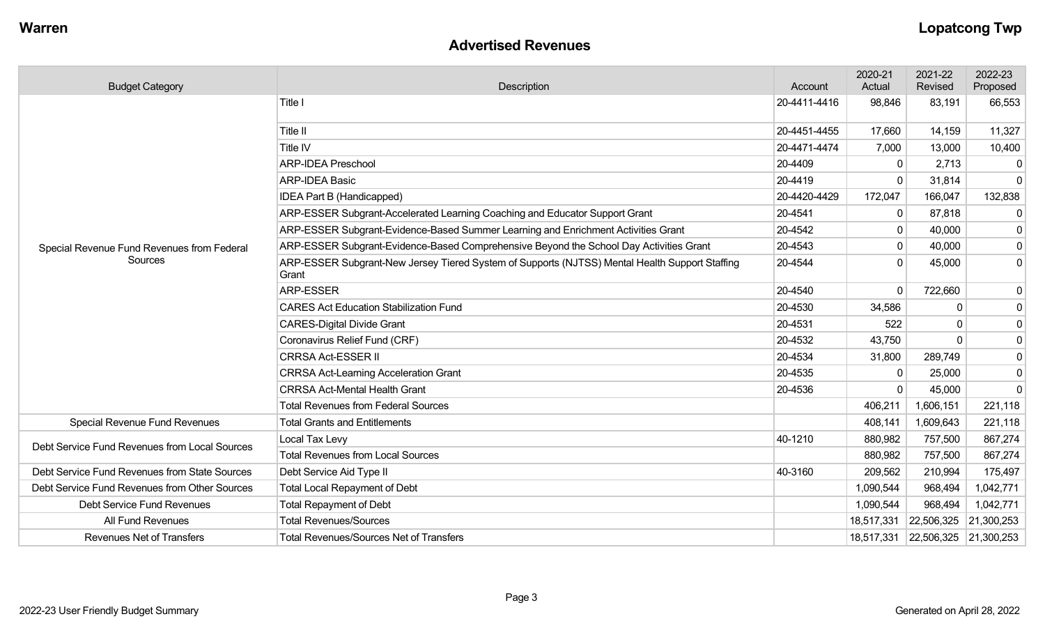### **Advertised Revenues**

| <b>Budget Category</b>                        | Description                                                                                             | Account      | 2020-21<br>Actual | 2021-22<br>Revised               | 2022-23<br>Proposed |
|-----------------------------------------------|---------------------------------------------------------------------------------------------------------|--------------|-------------------|----------------------------------|---------------------|
|                                               | Title I                                                                                                 | 20-4411-4416 | 98,846            | 83,191                           | 66,553              |
|                                               | Title II                                                                                                | 20-4451-4455 | 17,660            | 14,159                           | 11,327              |
|                                               | Title IV                                                                                                | 20-4471-4474 | 7,000             | 13,000                           | 10,400              |
|                                               | <b>ARP-IDEA Preschool</b>                                                                               | 20-4409      | $\Omega$          | 2,713                            | 0                   |
|                                               | <b>ARP-IDEA Basic</b>                                                                                   | 20-4419      | $\Omega$          | 31,814                           | $\mathbf 0$         |
|                                               | <b>IDEA Part B (Handicapped)</b>                                                                        | 20-4420-4429 | 172,047           | 166,047                          | 132,838             |
|                                               | ARP-ESSER Subgrant-Accelerated Learning Coaching and Educator Support Grant                             | 20-4541      | $\mathbf 0$       | 87,818                           | $\mathbf 0$         |
|                                               | ARP-ESSER Subgrant-Evidence-Based Summer Learning and Enrichment Activities Grant                       | 20-4542      | $\mathbf 0$       | 40,000                           | $\mathbf 0$         |
| Special Revenue Fund Revenues from Federal    | ARP-ESSER Subgrant-Evidence-Based Comprehensive Beyond the School Day Activities Grant                  | 20-4543      | 0                 | 40,000                           | 0                   |
| Sources                                       | ARP-ESSER Subgrant-New Jersey Tiered System of Supports (NJTSS) Mental Health Support Staffing<br>Grant | 20-4544      | $\Omega$          | 45,000                           | 0                   |
|                                               | <b>ARP-ESSER</b>                                                                                        | 20-4540      | $\Omega$          | 722,660                          | 0                   |
|                                               | <b>CARES Act Education Stabilization Fund</b>                                                           | 20-4530      | 34,586            | $\Omega$                         | 0                   |
|                                               | <b>CARES-Digital Divide Grant</b>                                                                       | 20-4531      | 522               |                                  | 0                   |
|                                               | Coronavirus Relief Fund (CRF)                                                                           | 20-4532      | 43,750            | $\Omega$                         | $\mathbf 0$         |
|                                               | <b>CRRSA Act-ESSER II</b>                                                                               | 20-4534      | 31,800            | 289,749                          | 0                   |
|                                               | <b>CRRSA Act-Learning Acceleration Grant</b>                                                            | 20-4535      | $\mathbf{0}$      | 25,000                           | $\mathbf 0$         |
|                                               | <b>CRRSA Act-Mental Health Grant</b>                                                                    | 20-4536      | $\Omega$          | 45,000                           | $\mathbf 0$         |
|                                               | <b>Total Revenues from Federal Sources</b>                                                              |              | 406,211           | 1,606,151                        | 221,118             |
| <b>Special Revenue Fund Revenues</b>          | <b>Total Grants and Entitlements</b>                                                                    |              | 408,141           | 1,609,643                        | 221,118             |
| Debt Service Fund Revenues from Local Sources | Local Tax Levy                                                                                          | 40-1210      | 880,982           | 757,500                          | 867,274             |
|                                               | <b>Total Revenues from Local Sources</b>                                                                |              | 880,982           | 757,500                          | 867,274             |
| Debt Service Fund Revenues from State Sources | Debt Service Aid Type II                                                                                | 40-3160      | 209,562           | 210,994                          | 175,497             |
| Debt Service Fund Revenues from Other Sources | <b>Total Local Repayment of Debt</b>                                                                    |              | 1,090,544         | 968,494                          | 1,042,771           |
| Debt Service Fund Revenues                    | <b>Total Repayment of Debt</b>                                                                          |              | 1,090,544         | 968,494                          | 1,042,771           |
| All Fund Revenues                             | <b>Total Revenues/Sources</b>                                                                           |              | 18,517,331        | 22,506,325 21,300,253            |                     |
| <b>Revenues Net of Transfers</b>              | <b>Total Revenues/Sources Net of Transfers</b>                                                          |              |                   | 18,517,331 22,506,325 21,300,253 |                     |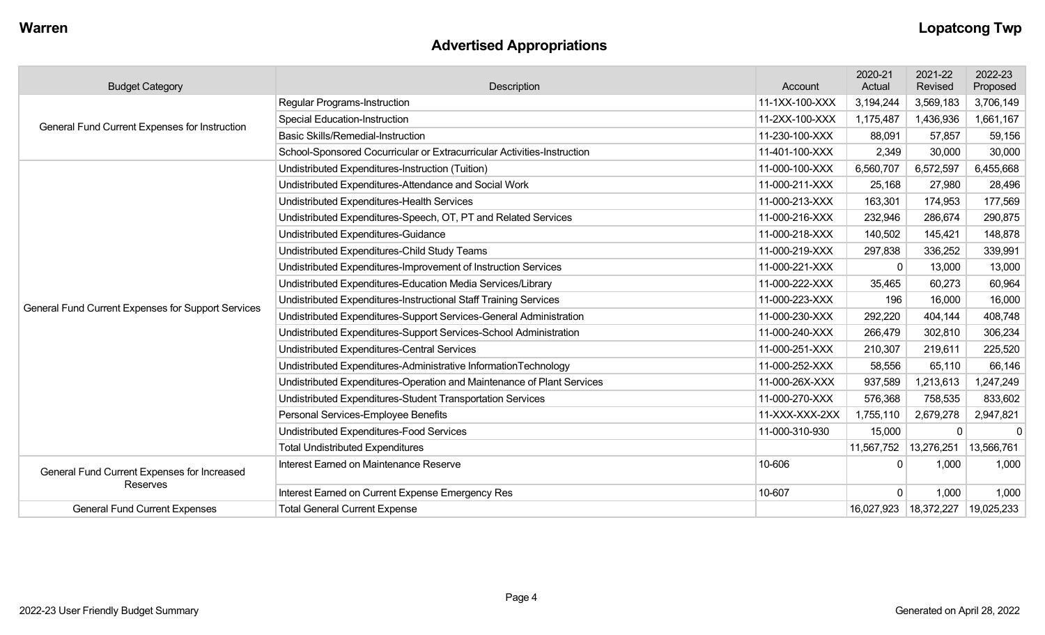## **Advertised Appropriations**

| <b>Budget Category</b>                             | Description                                                             | Account        | 2020-21<br>Actual | 2021-22<br>Revised | 2022-23<br>Proposed |
|----------------------------------------------------|-------------------------------------------------------------------------|----------------|-------------------|--------------------|---------------------|
|                                                    | <b>Regular Programs-Instruction</b>                                     | 11-1XX-100-XXX | 3,194,244         | 3,569,183          | 3,706,149           |
| General Fund Current Expenses for Instruction      | <b>Special Education-Instruction</b>                                    | 11-2XX-100-XXX | 1,175,487         | 1,436,936          | 1,661,167           |
|                                                    | <b>Basic Skills/Remedial-Instruction</b>                                | 11-230-100-XXX | 88,091            | 57,857             | 59,156              |
|                                                    | School-Sponsored Cocurricular or Extracurricular Activities-Instruction | 11-401-100-XXX | 2,349             | 30,000             | 30,000              |
|                                                    | Undistributed Expenditures-Instruction (Tuition)                        | 11-000-100-XXX | 6,560,707         | 6,572,597          | 6,455,668           |
|                                                    | Undistributed Expenditures-Attendance and Social Work                   | 11-000-211-XXX | 25,168            | 27,980             | 28,496              |
|                                                    | Undistributed Expenditures-Health Services                              | 11-000-213-XXX | 163,301           | 174,953            | 177,569             |
|                                                    | Undistributed Expenditures-Speech, OT, PT and Related Services          | 11-000-216-XXX | 232,946           | 286,674            | 290,875             |
|                                                    | Undistributed Expenditures-Guidance                                     | 11-000-218-XXX | 140,502           | 145,421            | 148,878             |
|                                                    | Undistributed Expenditures-Child Study Teams                            | 11-000-219-XXX | 297,838           | 336,252            | 339,991             |
|                                                    | Undistributed Expenditures-Improvement of Instruction Services          | 11-000-221-XXX | $\Omega$          | 13,000             | 13,000              |
|                                                    | Undistributed Expenditures-Education Media Services/Library             | 11-000-222-XXX | 35,465            | 60,273             | 60,964              |
| General Fund Current Expenses for Support Services | Undistributed Expenditures-Instructional Staff Training Services        | 11-000-223-XXX | 196               | 16,000             | 16,000              |
|                                                    | Undistributed Expenditures-Support Services-General Administration      | 11-000-230-XXX | 292,220           | 404,144            | 408,748             |
|                                                    | Undistributed Expenditures-Support Services-School Administration       | 11-000-240-XXX | 266,479           | 302,810            | 306,234             |
|                                                    | Undistributed Expenditures-Central Services                             | 11-000-251-XXX | 210,307           | 219,611            | 225,520             |
|                                                    | Undistributed Expenditures-Administrative InformationTechnology         | 11-000-252-XXX | 58,556            | 65,110             | 66,146              |
|                                                    | Undistributed Expenditures-Operation and Maintenance of Plant Services  | 11-000-26X-XXX | 937,589           | 1,213,613          | 1,247,249           |
|                                                    | Undistributed Expenditures-Student Transportation Services              | 11-000-270-XXX | 576,368           | 758,535            | 833,602             |
|                                                    | Personal Services-Employee Benefits                                     | 11-XXX-XXX-2XX | 1,755,110         | 2,679,278          | 2,947,821           |
|                                                    | Undistributed Expenditures-Food Services                                | 11-000-310-930 | 15,000            | $\Omega$           | $\Omega$            |
|                                                    | <b>Total Undistributed Expenditures</b>                                 |                | 11,567,752        | 13,276,251         | 13,566,761          |
| General Fund Current Expenses for Increased        | Interest Earned on Maintenance Reserve                                  | 10-606         | $\mathbf{0}$      | 1,000              | 1,000               |
| Reserves                                           | Interest Earned on Current Expense Emergency Res                        | 10-607         | $\mathbf{0}$      | 1,000              | 1,000               |
| <b>General Fund Current Expenses</b>               | <b>Total General Current Expense</b>                                    |                | 16,027,923        | 18,372,227         | 19,025,233          |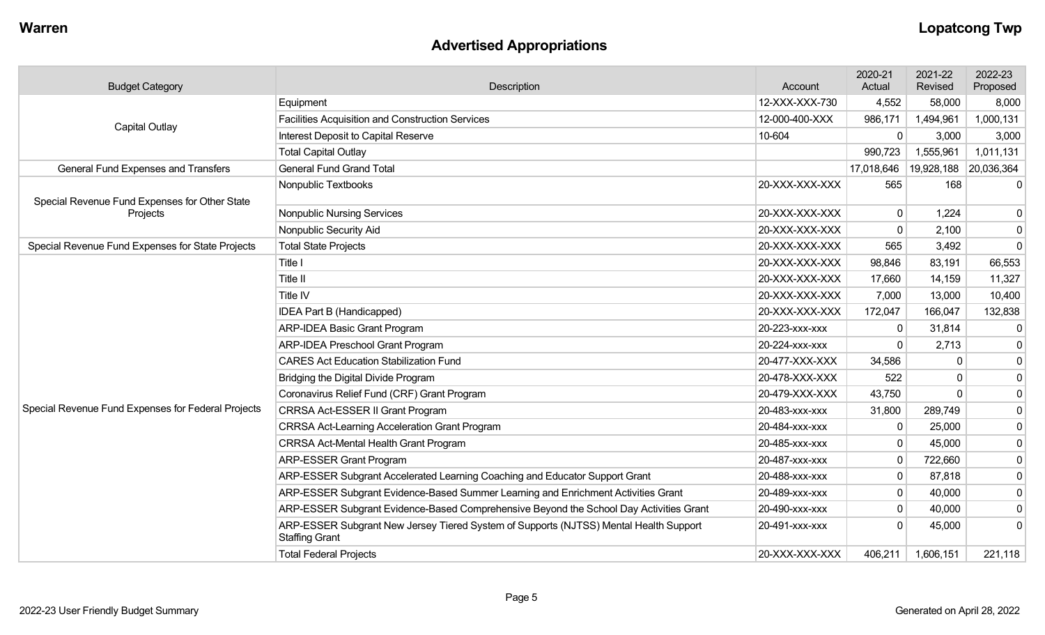## **Advertised Appropriations**

| <b>Budget Category</b>                                                        | Description                                                                                                    | Account        | 2020-21<br>Actual | 2021-22<br>Revised | 2022-23<br>Proposed |
|-------------------------------------------------------------------------------|----------------------------------------------------------------------------------------------------------------|----------------|-------------------|--------------------|---------------------|
|                                                                               | Equipment                                                                                                      | 12-XXX-XXX-730 | 4,552             | 58,000             | 8,000               |
| <b>Capital Outlay</b>                                                         | <b>Facilities Acquisition and Construction Services</b>                                                        | 12-000-400-XXX | 986,171           | 1,494,961          | 1,000,131           |
|                                                                               | Interest Deposit to Capital Reserve                                                                            | 10-604         | $\mathbf 0$       | 3,000              | 3,000               |
|                                                                               | <b>Total Capital Outlay</b>                                                                                    |                | 990,723           | 1,555,961          | 1,011,131           |
| <b>General Fund Grand Total</b><br><b>General Fund Expenses and Transfers</b> |                                                                                                                |                | 17,018,646        | 19,928,188         | 20,036,364          |
| Special Revenue Fund Expenses for Other State                                 | Nonpublic Textbooks                                                                                            | 20-XXX-XXX-XXX | 565               | 168                | -0                  |
| Projects                                                                      | <b>Nonpublic Nursing Services</b>                                                                              | 20-XXX-XXX-XXX | $\mathbf 0$       | 1,224              | 0                   |
|                                                                               | Nonpublic Security Aid                                                                                         | 20-XXX-XXX-XXX | 0                 | 2,100              | 0                   |
| Special Revenue Fund Expenses for State Projects                              | <b>Total State Projects</b>                                                                                    | 20-XXX-XXX-XXX | 565               | 3,492              | $\Omega$            |
|                                                                               | Title I                                                                                                        | 20-XXX-XXX-XXX | 98,846            | 83,191             | 66,553              |
|                                                                               | Title II                                                                                                       | 20-XXX-XXX-XXX | 17,660            | 14,159             | 11,327              |
|                                                                               | Title IV                                                                                                       | 20-XXX-XXX-XXX | 7,000             | 13,000             | 10,400              |
|                                                                               | IDEA Part B (Handicapped)                                                                                      | 20-XXX-XXX-XXX | 172,047           | 166,047            | 132,838             |
|                                                                               | <b>ARP-IDEA Basic Grant Program</b>                                                                            | 20-223-xxx-xxx | $\mathbf{0}$      | 31,814             | 0                   |
|                                                                               | <b>ARP-IDEA Preschool Grant Program</b>                                                                        | 20-224-xxx-xxx | $\Omega$          | 2,713              | 0                   |
|                                                                               | <b>CARES Act Education Stabilization Fund</b>                                                                  | 20-477-XXX-XXX | 34,586            | $\Omega$           | $\mathbf 0$         |
|                                                                               | Bridging the Digital Divide Program                                                                            | 20-478-XXX-XXX | 522               | $\Omega$           | $\mathbf 0$         |
|                                                                               | Coronavirus Relief Fund (CRF) Grant Program                                                                    | 20-479-XXX-XXX | 43,750            | $\Omega$           | $\mathbf 0$         |
| Special Revenue Fund Expenses for Federal Projects                            | CRRSA Act-ESSER II Grant Program                                                                               | 20-483-xxx-xxx | 31,800            | 289,749            | $\boldsymbol{0}$    |
|                                                                               | <b>CRRSA Act-Learning Acceleration Grant Program</b>                                                           | 20-484-xxx-xxx | $\mathbf 0$       | 25,000             | $\pmb{0}$           |
|                                                                               | <b>CRRSA Act-Mental Health Grant Program</b>                                                                   | 20-485-xxx-xxx | $\mathbf 0$       | 45,000             | $\mathbf 0$         |
|                                                                               | <b>ARP-ESSER Grant Program</b>                                                                                 | 20-487-xxx-xxx | $\mathbf{0}$      | 722,660            | $\mathbf 0$         |
|                                                                               | ARP-ESSER Subgrant Accelerated Learning Coaching and Educator Support Grant                                    | 20-488-XXX-XXX | $\mathbf 0$       | 87,818             | $\pmb{0}$           |
|                                                                               | ARP-ESSER Subgrant Evidence-Based Summer Learning and Enrichment Activities Grant                              | 20-489-xxx-xxx | $\mathbf 0$       | 40,000             | $\pmb{0}$           |
|                                                                               | ARP-ESSER Subgrant Evidence-Based Comprehensive Beyond the School Day Activities Grant                         | 20-490-xxx-xxx | $\mathbf 0$       | 40,000             | 0                   |
|                                                                               | ARP-ESSER Subgrant New Jersey Tiered System of Supports (NJTSS) Mental Health Support<br><b>Staffing Grant</b> | 20-491-xxx-xxx | $\Omega$          | 45,000             | -0                  |
|                                                                               | <b>Total Federal Projects</b>                                                                                  | 20-XXX-XXX-XXX | 406,211           | 1,606,151          | 221,118             |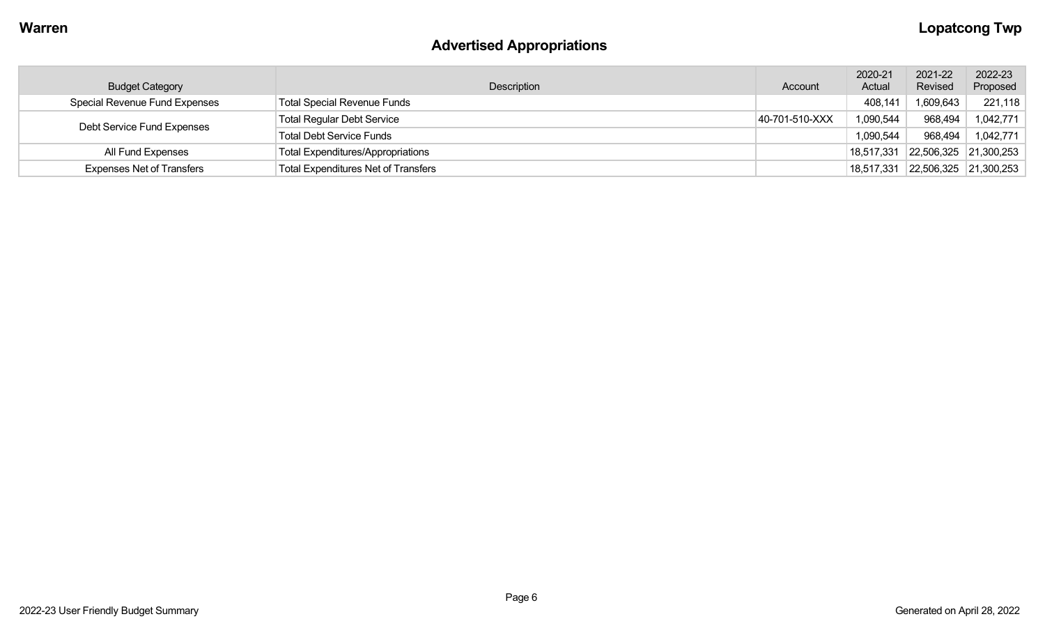# **Advertised Appropriations**

| <b>Budget Category</b>               | Description                                | Account        | 2020-21<br>Actual | 2021-22<br>Revised    | 2022-23<br>Proposed   |
|--------------------------------------|--------------------------------------------|----------------|-------------------|-----------------------|-----------------------|
| <b>Special Revenue Fund Expenses</b> | <b>Total Special Revenue Funds</b>         |                | 408,141           | 1,609,643             | 221,118               |
|                                      | <b>Total Regular Debt Service</b>          | 40-701-510-XXX | 1,090,544         | 968,494               | 1,042,771             |
| Debt Service Fund Expenses           | <b>Total Debt Service Funds</b>            |                | 1,090,544         | 968,494               | 1,042,771             |
| All Fund Expenses                    | <b>Total Expenditures/Appropriations</b>   |                | 18,517,331        |                       | 22,506,325 21,300,253 |
| <b>Expenses Net of Transfers</b>     | <b>Total Expenditures Net of Transfers</b> |                | 18,517,331        | 22,506,325 21,300,253 |                       |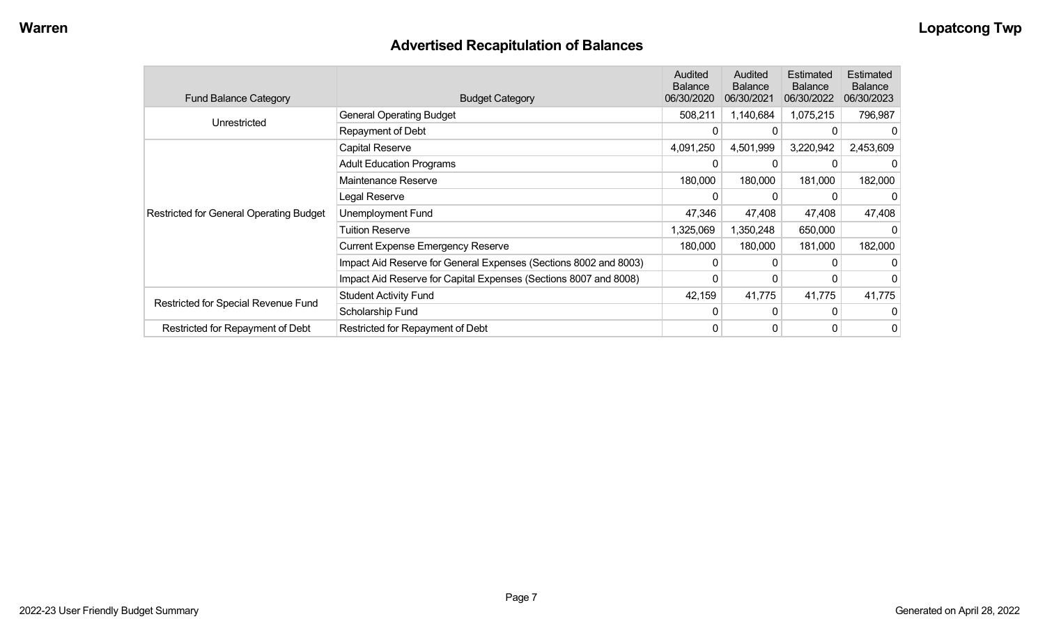## **Advertised Recapitulation of Balances**

| <b>Fund Balance Category</b>                   | <b>Budget Category</b>                                           | Audited<br><b>Balance</b><br>06/30/2020 | Audited<br><b>Balance</b><br>06/30/2021 | Estimated<br><b>Balance</b><br>06/30/2022 | Estimated<br><b>Balance</b><br>06/30/2023 |
|------------------------------------------------|------------------------------------------------------------------|-----------------------------------------|-----------------------------------------|-------------------------------------------|-------------------------------------------|
| Unrestricted                                   | <b>General Operating Budget</b>                                  | 508,211                                 | 1,140,684                               | 1,075,215                                 | 796,987                                   |
|                                                | Repayment of Debt                                                | $\Omega$                                | 0                                       |                                           |                                           |
|                                                | Capital Reserve                                                  | 4,091,250                               | 4,501,999                               | 3,220,942                                 | 2,453,609                                 |
|                                                | <b>Adult Education Programs</b>                                  |                                         |                                         |                                           |                                           |
|                                                | Maintenance Reserve                                              | 180,000                                 | 180,000                                 | 181,000                                   | 182,000                                   |
|                                                | Legal Reserve                                                    | $\Omega$                                | $\Omega$                                | 0                                         |                                           |
| <b>Restricted for General Operating Budget</b> | Unemployment Fund                                                | 47,346                                  | 47,408                                  | 47,408                                    | 47,408                                    |
|                                                | <b>Tuition Reserve</b>                                           | 1,325,069                               | 1,350,248                               | 650,000                                   |                                           |
|                                                | <b>Current Expense Emergency Reserve</b>                         | 180,000                                 | 180,000                                 | 181,000                                   | 182,000                                   |
|                                                | Impact Aid Reserve for General Expenses (Sections 8002 and 8003) | 0                                       | 0                                       |                                           |                                           |
|                                                | Impact Aid Reserve for Capital Expenses (Sections 8007 and 8008) | 0                                       | 0                                       |                                           |                                           |
|                                                | <b>Student Activity Fund</b>                                     | 42,159                                  | 41,775                                  | 41,775                                    | 41,775                                    |
| Restricted for Special Revenue Fund            | Scholarship Fund                                                 | $\Omega$                                | $\Omega$                                | 0                                         |                                           |
| Restricted for Repayment of Debt               | Restricted for Repayment of Debt                                 | 0                                       | 0                                       | 0                                         | 0                                         |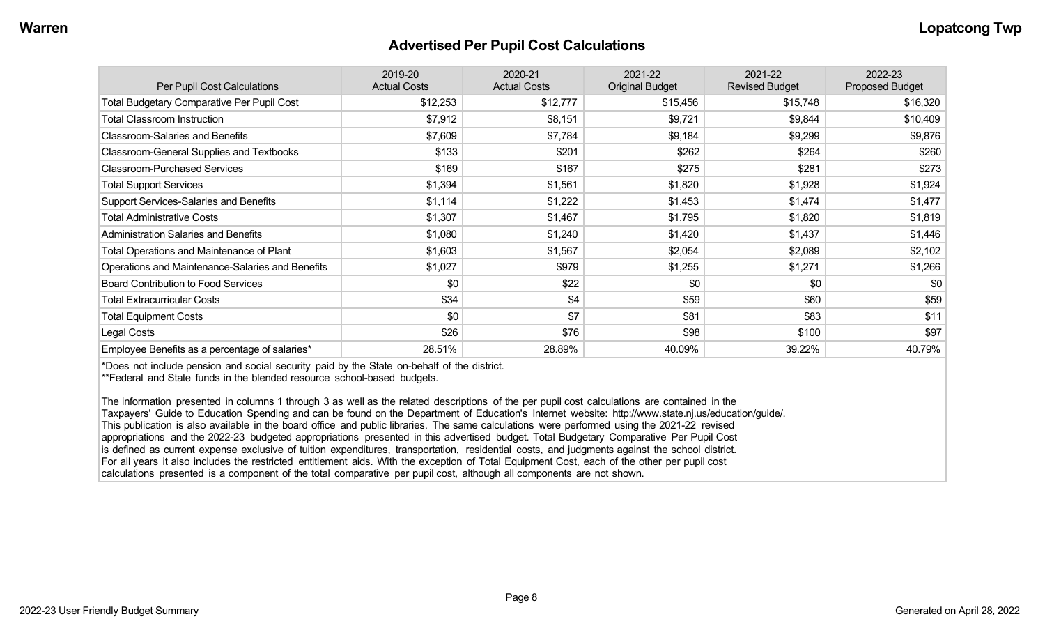#### **Advertised Per Pupil Cost Calculations**

| Per Pupil Cost Calculations                       | 2019-20<br><b>Actual Costs</b> | 2020-21<br><b>Actual Costs</b> | 2021-22<br><b>Original Budget</b> | 2021-22<br><b>Revised Budget</b> | 2022-23<br><b>Proposed Budget</b> |
|---------------------------------------------------|--------------------------------|--------------------------------|-----------------------------------|----------------------------------|-----------------------------------|
| <b>Total Budgetary Comparative Per Pupil Cost</b> | \$12,253                       | \$12,777                       | \$15,456                          | \$15,748                         | \$16,320                          |
| <b>Total Classroom Instruction</b>                | \$7,912                        | \$8,151                        | \$9,721                           | \$9,844                          | \$10,409                          |
| <b>Classroom-Salaries and Benefits</b>            | \$7,609                        | \$7,784                        | \$9,184                           | \$9,299                          | \$9,876                           |
| Classroom-General Supplies and Textbooks          | \$133                          | \$201                          | \$262                             | \$264                            | \$260                             |
| <b>Classroom-Purchased Services</b>               | \$169                          | \$167                          | \$275                             | \$281                            | \$273                             |
| <b>Total Support Services</b>                     | \$1,394                        | \$1,561                        | \$1,820                           | \$1,928                          | \$1,924                           |
| Support Services-Salaries and Benefits            | \$1,114                        | \$1,222                        | \$1,453                           | \$1,474                          | \$1,477                           |
| <b>Total Administrative Costs</b>                 | \$1,307                        | \$1,467                        | \$1,795                           | \$1,820                          | \$1,819                           |
| <b>Administration Salaries and Benefits</b>       | \$1,080                        | \$1,240                        | \$1,420                           | \$1,437                          | \$1,446                           |
| <b>Total Operations and Maintenance of Plant</b>  | \$1,603                        | \$1,567                        | \$2,054                           | \$2,089                          | \$2,102                           |
| Operations and Maintenance-Salaries and Benefits  | \$1,027                        | \$979                          | \$1,255                           | \$1,271                          | \$1,266                           |
| <b>Board Contribution to Food Services</b>        | \$0                            | \$22                           | \$0                               | \$0                              | \$0                               |
| <b>Total Extracurricular Costs</b>                | \$34                           | \$4                            | \$59                              | \$60                             | \$59                              |
| <b>Total Equipment Costs</b>                      | \$0                            | \$7                            | \$81                              | \$83                             | \$11                              |
| Legal Costs                                       | \$26                           | \$76                           | \$98                              | \$100                            | \$97                              |
| Employee Benefits as a percentage of salaries*    | 28.51%                         | 28.89%                         | 40.09%                            | 39.22%                           | 40.79%                            |

\*Does not include pension and social security paid by the State on-behalf of the district.

\*\*Federal and State funds in the blended resource school-based budgets.

The information presented in columns 1 through 3 as well as the related descriptions of the per pupil cost calculations are contained in the Taxpayers' Guide to Education Spending and can be found on the Department of Education's Internet website: http://www.state.nj.us/education/guide/. This publication is also available in the board office and public libraries. The same calculations were performed using the 2021-22 revised appropriations and the 2022-23 budgeted appropriations presented in this advertised budget. Total Budgetary Comparative Per Pupil Cost is defined as current expense exclusive of tuition expenditures, transportation, residential costs, and judgments against the school district. For all years it also includes the restricted entitlement aids. With the exception of Total Equipment Cost, each of the other per pupil cost calculations presented is a component of the total comparative per pupil cost, although all components are not shown.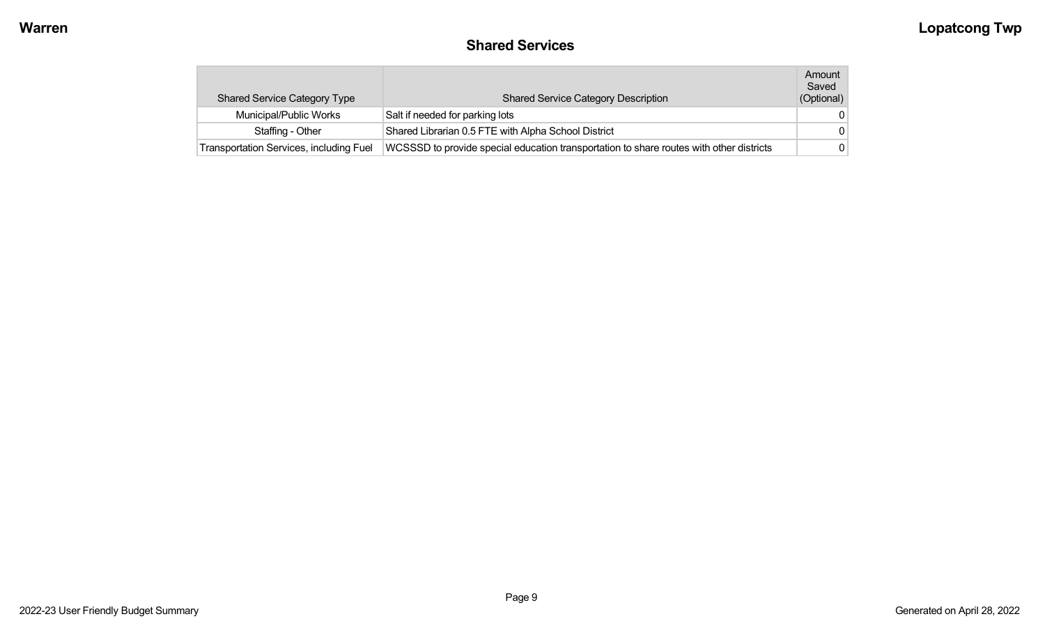## **Shared Services**

| <b>Shared Service Category Type</b>            | <b>Shared Service Category Description</b>                                              | Amount<br>Saved<br>(Optional) |
|------------------------------------------------|-----------------------------------------------------------------------------------------|-------------------------------|
| Municipal/Public Works                         | Salt if needed for parking lots                                                         | $\Omega$                      |
| Staffing - Other                               | Shared Librarian 0.5 FTE with Alpha School District                                     | $\Omega$                      |
| <b>Transportation Services, including Fuel</b> | WCSSSD to provide special education transportation to share routes with other districts | 0                             |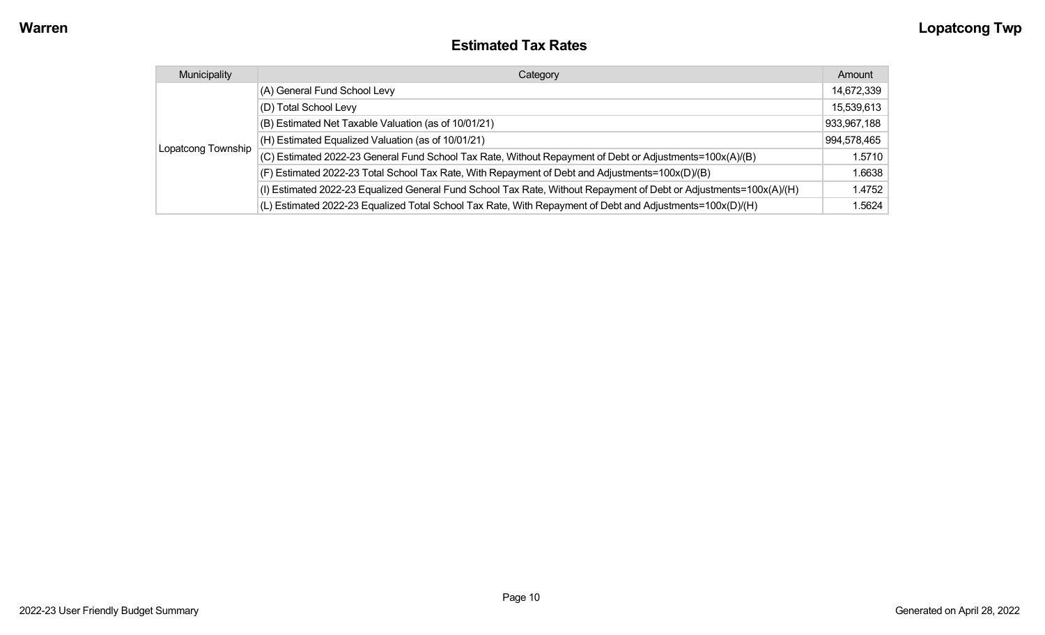#### **Estimated Tax Rates**

| Municipality       | Category                                                                                                           | Amount      |
|--------------------|--------------------------------------------------------------------------------------------------------------------|-------------|
|                    | (A) General Fund School Levy                                                                                       | 14,672,339  |
|                    | (D) Total School Levy                                                                                              | 15,539,613  |
|                    | (B) Estimated Net Taxable Valuation (as of 10/01/21)                                                               | 933,967,188 |
|                    | (H) Estimated Equalized Valuation (as of 10/01/21)                                                                 | 994,578,465 |
| Lopatcong Township | (C) Estimated 2022-23 General Fund School Tax Rate, Without Repayment of Debt or Adjustments=100x(A)/(B)           | 1.5710      |
|                    | (F) Estimated 2022-23 Total School Tax Rate, With Repayment of Debt and Adjustments=100x(D)/(B)                    | 1.6638      |
|                    | (I) Estimated 2022-23 Equalized General Fund School Tax Rate, Without Repayment of Debt or Adjustments=100x(A)/(H) | 1.4752      |
|                    | (L) Estimated 2022-23 Equalized Total School Tax Rate, With Repayment of Debt and Adjustments=100x(D)/(H)          | 1.5624      |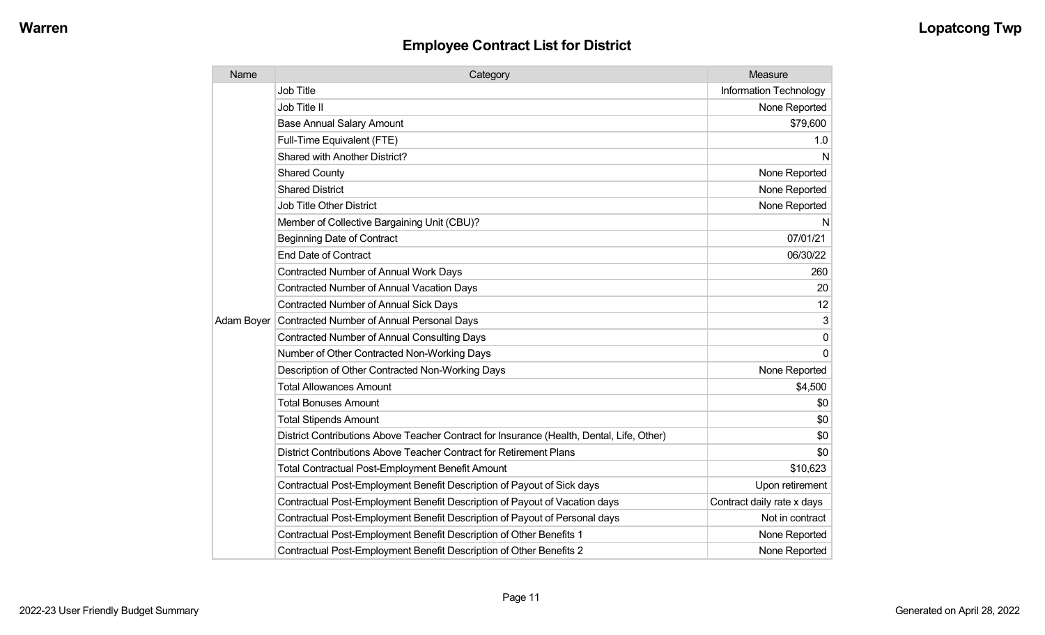| Name       | Category                                                                                  | Measure                    |
|------------|-------------------------------------------------------------------------------------------|----------------------------|
|            | <b>Job Title</b>                                                                          | Information Technology     |
|            | Job Title II                                                                              | None Reported              |
|            | <b>Base Annual Salary Amount</b>                                                          | \$79,600                   |
|            | Full-Time Equivalent (FTE)                                                                | 1.0                        |
|            | Shared with Another District?                                                             | N                          |
|            | <b>Shared County</b>                                                                      | None Reported              |
|            | <b>Shared District</b>                                                                    | None Reported              |
|            | Job Title Other District                                                                  | None Reported              |
|            | Member of Collective Bargaining Unit (CBU)?                                               | N                          |
|            | <b>Beginning Date of Contract</b>                                                         | 07/01/21                   |
|            | <b>End Date of Contract</b>                                                               | 06/30/22                   |
|            | <b>Contracted Number of Annual Work Days</b>                                              | 260                        |
|            | Contracted Number of Annual Vacation Days                                                 | 20                         |
|            | <b>Contracted Number of Annual Sick Days</b>                                              | 12                         |
| Adam Boyer | Contracted Number of Annual Personal Days                                                 | 3                          |
|            | <b>Contracted Number of Annual Consulting Days</b>                                        | 0                          |
|            | Number of Other Contracted Non-Working Days                                               | $\Omega$                   |
|            | Description of Other Contracted Non-Working Days                                          | None Reported              |
|            | <b>Total Allowances Amount</b>                                                            | \$4,500                    |
|            | <b>Total Bonuses Amount</b>                                                               | \$0                        |
|            | <b>Total Stipends Amount</b>                                                              | \$0                        |
|            | District Contributions Above Teacher Contract for Insurance (Health, Dental, Life, Other) | \$0                        |
|            | District Contributions Above Teacher Contract for Retirement Plans                        | \$0                        |
|            | <b>Total Contractual Post-Employment Benefit Amount</b>                                   | \$10,623                   |
|            | Contractual Post-Employment Benefit Description of Payout of Sick days                    | Upon retirement            |
|            | Contractual Post-Employment Benefit Description of Payout of Vacation days                | Contract daily rate x days |
|            | Contractual Post-Employment Benefit Description of Payout of Personal days                | Not in contract            |
|            | Contractual Post-Employment Benefit Description of Other Benefits 1                       | None Reported              |
|            | Contractual Post-Employment Benefit Description of Other Benefits 2                       | None Reported              |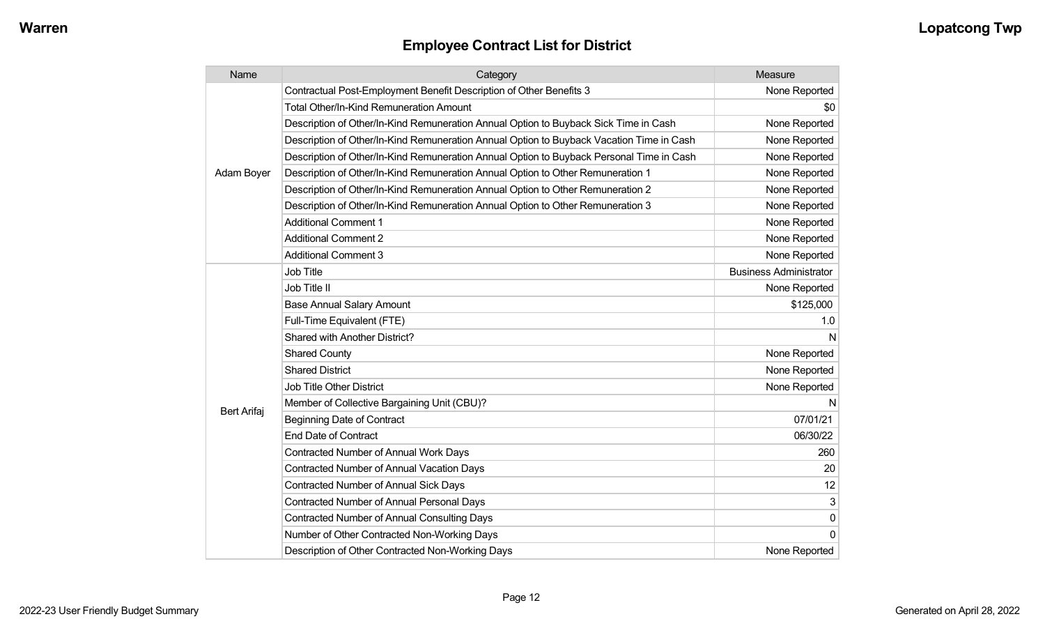| Name               | Category                                                                                 | Measure                       |
|--------------------|------------------------------------------------------------------------------------------|-------------------------------|
|                    | Contractual Post-Employment Benefit Description of Other Benefits 3                      | None Reported                 |
| Adam Boyer         | Total Other/In-Kind Remuneration Amount                                                  | \$0                           |
|                    | Description of Other/In-Kind Remuneration Annual Option to Buyback Sick Time in Cash     | None Reported                 |
|                    | Description of Other/In-Kind Remuneration Annual Option to Buyback Vacation Time in Cash | None Reported                 |
|                    | Description of Other/In-Kind Remuneration Annual Option to Buyback Personal Time in Cash | None Reported                 |
|                    | Description of Other/In-Kind Remuneration Annual Option to Other Remuneration 1          | None Reported                 |
|                    | Description of Other/In-Kind Remuneration Annual Option to Other Remuneration 2          | None Reported                 |
|                    | Description of Other/In-Kind Remuneration Annual Option to Other Remuneration 3          | None Reported                 |
|                    | <b>Additional Comment 1</b>                                                              | None Reported                 |
|                    | <b>Additional Comment 2</b>                                                              | None Reported                 |
|                    | <b>Additional Comment 3</b>                                                              | None Reported                 |
|                    | <b>Job Title</b>                                                                         | <b>Business Administrator</b> |
|                    | Job Title II                                                                             | None Reported                 |
|                    | <b>Base Annual Salary Amount</b>                                                         | \$125,000                     |
|                    | Full-Time Equivalent (FTE)                                                               | 1.0                           |
|                    | Shared with Another District?                                                            | N                             |
|                    | <b>Shared County</b>                                                                     | None Reported                 |
|                    | <b>Shared District</b>                                                                   | None Reported                 |
|                    | <b>Job Title Other District</b>                                                          | None Reported                 |
|                    | Member of Collective Bargaining Unit (CBU)?                                              | N                             |
| <b>Bert Arifaj</b> | <b>Beginning Date of Contract</b>                                                        | 07/01/21                      |
|                    | <b>End Date of Contract</b>                                                              | 06/30/22                      |
|                    | <b>Contracted Number of Annual Work Days</b>                                             | 260                           |
|                    | <b>Contracted Number of Annual Vacation Days</b>                                         | 20                            |
|                    | <b>Contracted Number of Annual Sick Days</b>                                             | 12                            |
|                    | <b>Contracted Number of Annual Personal Days</b>                                         | 3                             |
|                    | <b>Contracted Number of Annual Consulting Days</b>                                       | 0                             |
|                    | Number of Other Contracted Non-Working Days                                              | $\Omega$                      |
|                    | Description of Other Contracted Non-Working Days                                         | None Reported                 |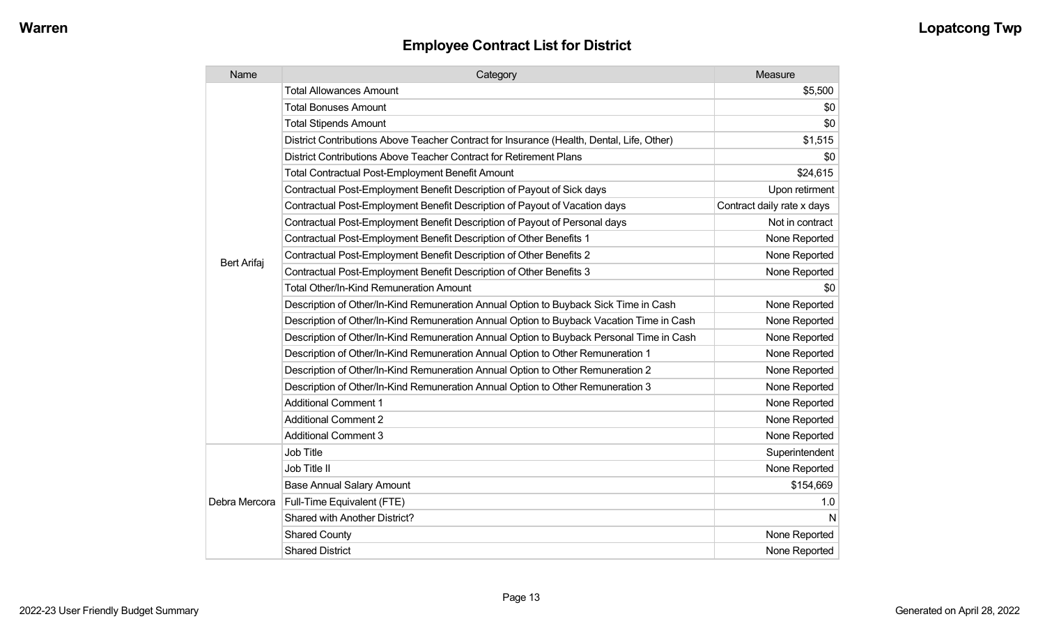| Name               | Category                                                                                  | Measure                    |
|--------------------|-------------------------------------------------------------------------------------------|----------------------------|
|                    | <b>Total Allowances Amount</b>                                                            | \$5,500                    |
|                    | <b>Total Bonuses Amount</b>                                                               | \$0                        |
|                    | <b>Total Stipends Amount</b>                                                              | \$0                        |
|                    | District Contributions Above Teacher Contract for Insurance (Health, Dental, Life, Other) | \$1,515                    |
|                    | District Contributions Above Teacher Contract for Retirement Plans                        | \$0                        |
|                    | <b>Total Contractual Post-Employment Benefit Amount</b>                                   | \$24,615                   |
|                    | Contractual Post-Employment Benefit Description of Payout of Sick days                    | Upon retirment             |
|                    | Contractual Post-Employment Benefit Description of Payout of Vacation days                | Contract daily rate x days |
|                    | Contractual Post-Employment Benefit Description of Payout of Personal days                | Not in contract            |
|                    | Contractual Post-Employment Benefit Description of Other Benefits 1                       | None Reported              |
| <b>Bert Arifaj</b> | Contractual Post-Employment Benefit Description of Other Benefits 2                       | None Reported              |
|                    | Contractual Post-Employment Benefit Description of Other Benefits 3                       | None Reported              |
|                    | <b>Total Other/In-Kind Remuneration Amount</b>                                            | \$0                        |
|                    | Description of Other/In-Kind Remuneration Annual Option to Buyback Sick Time in Cash      | None Reported              |
|                    | Description of Other/In-Kind Remuneration Annual Option to Buyback Vacation Time in Cash  | None Reported              |
|                    | Description of Other/In-Kind Remuneration Annual Option to Buyback Personal Time in Cash  | None Reported              |
|                    | Description of Other/In-Kind Remuneration Annual Option to Other Remuneration 1           | None Reported              |
|                    | Description of Other/In-Kind Remuneration Annual Option to Other Remuneration 2           | None Reported              |
|                    | Description of Other/In-Kind Remuneration Annual Option to Other Remuneration 3           | None Reported              |
|                    | <b>Additional Comment 1</b>                                                               | None Reported              |
|                    | <b>Additional Comment 2</b>                                                               | None Reported              |
|                    | <b>Additional Comment 3</b>                                                               | None Reported              |
| Debra Mercora      | <b>Job Title</b>                                                                          | Superintendent             |
|                    | Job Title II                                                                              | None Reported              |
|                    | <b>Base Annual Salary Amount</b>                                                          | \$154,669                  |
|                    | Full-Time Equivalent (FTE)                                                                | 1.0                        |
|                    | Shared with Another District?                                                             | N                          |
|                    | <b>Shared County</b>                                                                      | None Reported              |
|                    | <b>Shared District</b>                                                                    | None Reported              |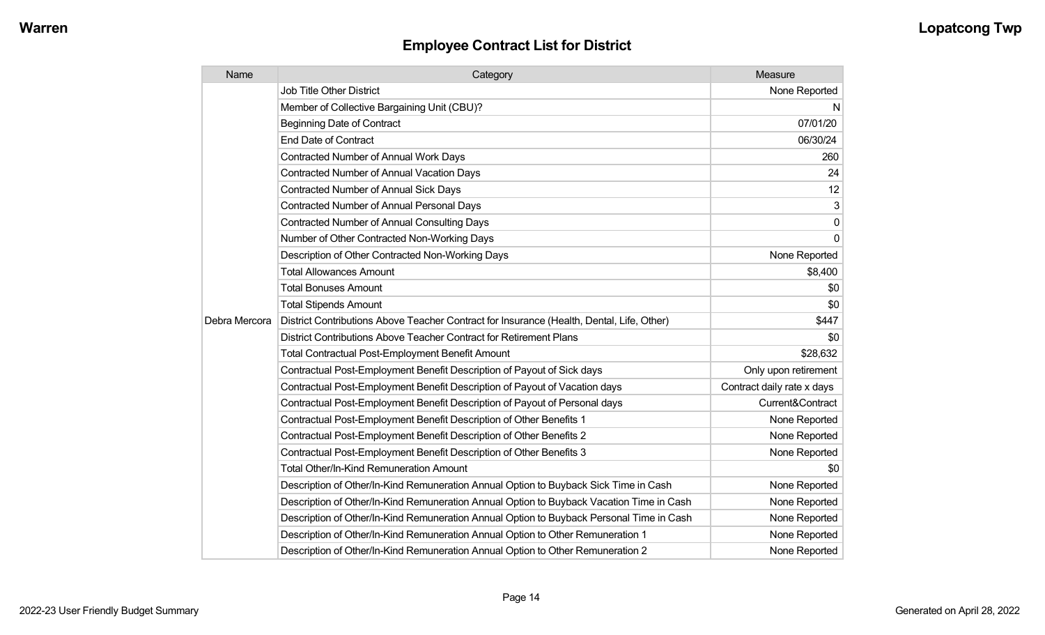| Name          | Category                                                                                  | Measure                    |
|---------------|-------------------------------------------------------------------------------------------|----------------------------|
|               | <b>Job Title Other District</b>                                                           | None Reported              |
|               | Member of Collective Bargaining Unit (CBU)?                                               | N                          |
|               | <b>Beginning Date of Contract</b>                                                         | 07/01/20                   |
|               | <b>End Date of Contract</b>                                                               | 06/30/24                   |
|               | <b>Contracted Number of Annual Work Days</b>                                              | 260                        |
|               | <b>Contracted Number of Annual Vacation Days</b>                                          | 24                         |
|               | <b>Contracted Number of Annual Sick Days</b>                                              | 12                         |
|               | <b>Contracted Number of Annual Personal Days</b>                                          | 3                          |
|               | <b>Contracted Number of Annual Consulting Days</b>                                        | $\mathbf{0}$               |
|               | Number of Other Contracted Non-Working Days                                               | $\Omega$                   |
|               | Description of Other Contracted Non-Working Days                                          | None Reported              |
|               | <b>Total Allowances Amount</b>                                                            | \$8,400                    |
|               | <b>Total Bonuses Amount</b>                                                               | \$0                        |
|               | <b>Total Stipends Amount</b>                                                              | \$0                        |
| Debra Mercora | District Contributions Above Teacher Contract for Insurance (Health, Dental, Life, Other) | \$447                      |
|               | District Contributions Above Teacher Contract for Retirement Plans                        | \$0                        |
|               | <b>Total Contractual Post-Employment Benefit Amount</b>                                   | \$28,632                   |
|               | Contractual Post-Employment Benefit Description of Payout of Sick days                    | Only upon retirement       |
|               | Contractual Post-Employment Benefit Description of Payout of Vacation days                | Contract daily rate x days |
|               | Contractual Post-Employment Benefit Description of Payout of Personal days                | Current&Contract           |
|               | Contractual Post-Employment Benefit Description of Other Benefits 1                       | None Reported              |
|               | Contractual Post-Employment Benefit Description of Other Benefits 2                       | None Reported              |
|               | Contractual Post-Employment Benefit Description of Other Benefits 3                       | None Reported              |
|               | <b>Total Other/In-Kind Remuneration Amount</b>                                            | \$0                        |
|               | Description of Other/In-Kind Remuneration Annual Option to Buyback Sick Time in Cash      | None Reported              |
|               | Description of Other/In-Kind Remuneration Annual Option to Buyback Vacation Time in Cash  | None Reported              |
|               | Description of Other/In-Kind Remuneration Annual Option to Buyback Personal Time in Cash  | None Reported              |
|               | Description of Other/In-Kind Remuneration Annual Option to Other Remuneration 1           | None Reported              |
|               | Description of Other/In-Kind Remuneration Annual Option to Other Remuneration 2           | None Reported              |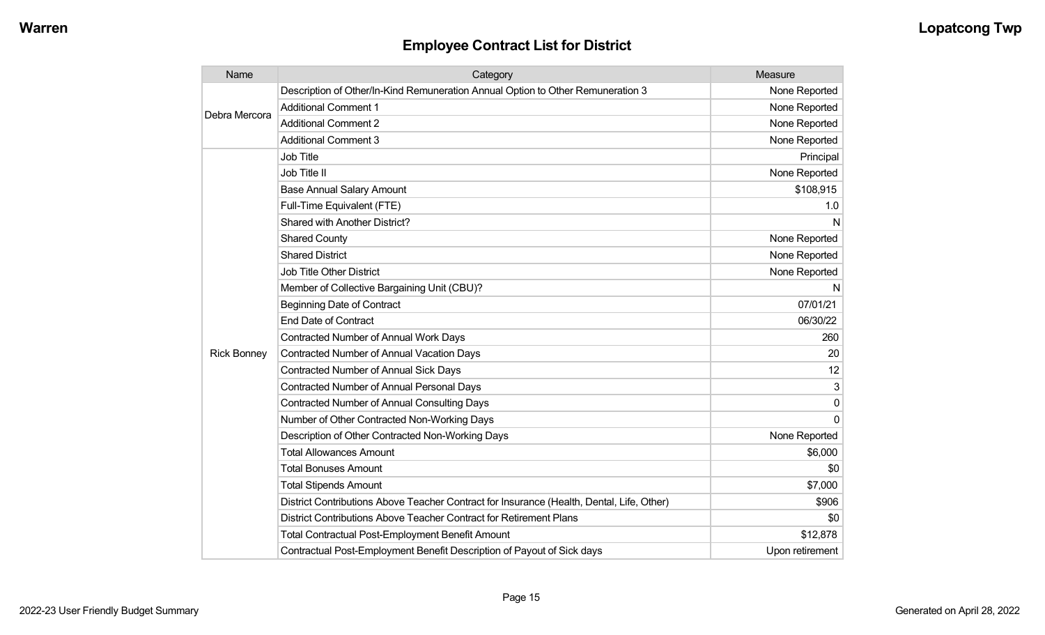| Name               | Category                                                                                  | Measure         |
|--------------------|-------------------------------------------------------------------------------------------|-----------------|
| Debra Mercora      | Description of Other/In-Kind Remuneration Annual Option to Other Remuneration 3           | None Reported   |
|                    | <b>Additional Comment 1</b>                                                               | None Reported   |
|                    | <b>Additional Comment 2</b>                                                               | None Reported   |
|                    | <b>Additional Comment 3</b>                                                               | None Reported   |
|                    | Job Title                                                                                 | Principal       |
|                    | Job Title II                                                                              | None Reported   |
|                    | <b>Base Annual Salary Amount</b>                                                          | \$108,915       |
|                    | Full-Time Equivalent (FTE)                                                                | 1.0             |
|                    | Shared with Another District?                                                             | N               |
|                    | <b>Shared County</b>                                                                      | None Reported   |
|                    | <b>Shared District</b>                                                                    | None Reported   |
|                    | Job Title Other District                                                                  | None Reported   |
|                    | Member of Collective Bargaining Unit (CBU)?                                               | N               |
|                    | <b>Beginning Date of Contract</b>                                                         | 07/01/21        |
|                    | <b>End Date of Contract</b>                                                               | 06/30/22        |
|                    | <b>Contracted Number of Annual Work Days</b>                                              | 260             |
| <b>Rick Bonney</b> | <b>Contracted Number of Annual Vacation Days</b>                                          | 20              |
|                    | <b>Contracted Number of Annual Sick Days</b>                                              | 12              |
|                    | Contracted Number of Annual Personal Days                                                 | 3               |
|                    | <b>Contracted Number of Annual Consulting Days</b>                                        | 0               |
|                    | Number of Other Contracted Non-Working Days                                               | $\Omega$        |
|                    | Description of Other Contracted Non-Working Days                                          | None Reported   |
|                    | <b>Total Allowances Amount</b>                                                            | \$6,000         |
|                    | <b>Total Bonuses Amount</b>                                                               | \$0             |
|                    | <b>Total Stipends Amount</b>                                                              | \$7,000         |
|                    | District Contributions Above Teacher Contract for Insurance (Health, Dental, Life, Other) | \$906           |
|                    | District Contributions Above Teacher Contract for Retirement Plans                        | \$0             |
|                    | <b>Total Contractual Post-Employment Benefit Amount</b>                                   | \$12,878        |
|                    | Contractual Post-Employment Benefit Description of Payout of Sick days                    | Upon retirement |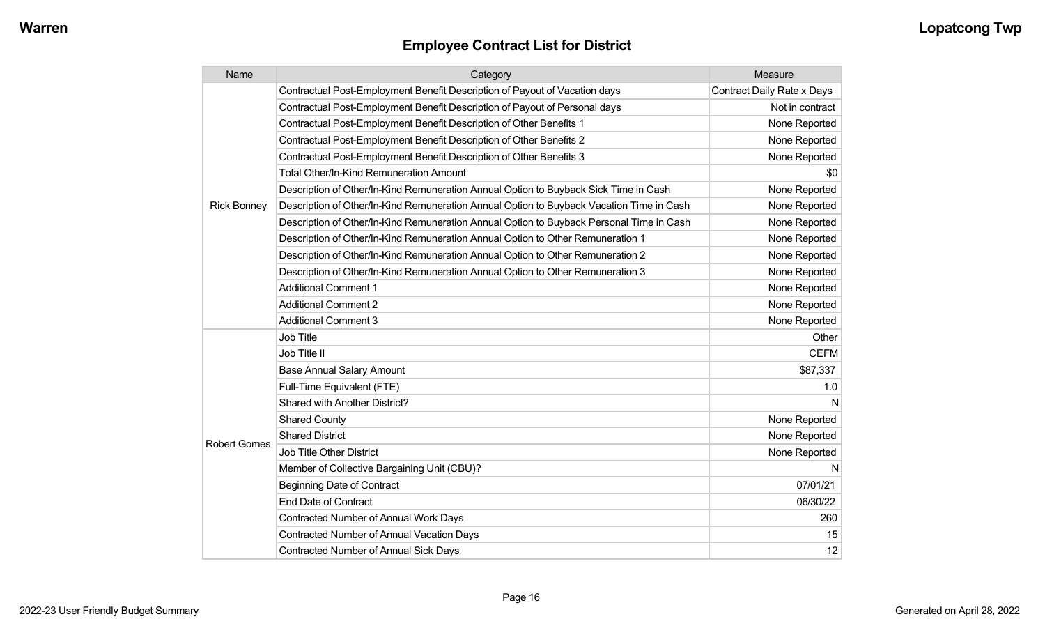| Name                | Category                                                                                 | Measure                           |
|---------------------|------------------------------------------------------------------------------------------|-----------------------------------|
|                     | Contractual Post-Employment Benefit Description of Payout of Vacation days               | <b>Contract Daily Rate x Days</b> |
|                     | Contractual Post-Employment Benefit Description of Payout of Personal days               | Not in contract                   |
|                     | Contractual Post-Employment Benefit Description of Other Benefits 1                      | None Reported                     |
|                     | Contractual Post-Employment Benefit Description of Other Benefits 2                      | None Reported                     |
|                     | Contractual Post-Employment Benefit Description of Other Benefits 3                      | None Reported                     |
|                     | <b>Total Other/In-Kind Remuneration Amount</b>                                           | \$0                               |
|                     | Description of Other/In-Kind Remuneration Annual Option to Buyback Sick Time in Cash     | None Reported                     |
| <b>Rick Bonney</b>  | Description of Other/In-Kind Remuneration Annual Option to Buyback Vacation Time in Cash | None Reported                     |
|                     | Description of Other/In-Kind Remuneration Annual Option to Buyback Personal Time in Cash | None Reported                     |
|                     | Description of Other/In-Kind Remuneration Annual Option to Other Remuneration 1          | None Reported                     |
|                     | Description of Other/In-Kind Remuneration Annual Option to Other Remuneration 2          | None Reported                     |
|                     | Description of Other/In-Kind Remuneration Annual Option to Other Remuneration 3          | None Reported                     |
|                     | <b>Additional Comment 1</b>                                                              | None Reported                     |
|                     | <b>Additional Comment 2</b>                                                              | None Reported                     |
|                     | <b>Additional Comment 3</b>                                                              | None Reported                     |
|                     | Job Title                                                                                | Other                             |
|                     | Job Title II                                                                             | <b>CEFM</b>                       |
|                     | <b>Base Annual Salary Amount</b>                                                         | \$87,337                          |
|                     | Full-Time Equivalent (FTE)                                                               | 1.0                               |
| <b>Robert Gomes</b> | Shared with Another District?                                                            | N                                 |
|                     | <b>Shared County</b>                                                                     | None Reported                     |
|                     | <b>Shared District</b>                                                                   | None Reported                     |
|                     | Job Title Other District                                                                 | None Reported                     |
|                     | Member of Collective Bargaining Unit (CBU)?                                              | N                                 |
|                     | <b>Beginning Date of Contract</b>                                                        | 07/01/21                          |
|                     | <b>End Date of Contract</b>                                                              | 06/30/22                          |
|                     | Contracted Number of Annual Work Days                                                    | 260                               |
|                     | Contracted Number of Annual Vacation Days                                                | 15                                |
|                     | Contracted Number of Annual Sick Days                                                    | 12                                |